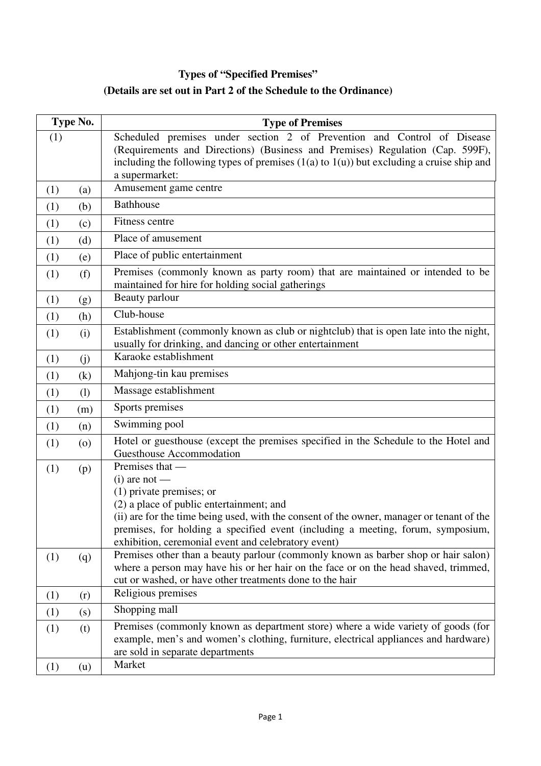## **Types of "Specified Premises" (Details are set out in Part 2 of the Schedule to the Ordinance)**

| Type No.                  | <b>Type of Premises</b>                                                                                                                                                                                                                                                                                                                             |
|---------------------------|-----------------------------------------------------------------------------------------------------------------------------------------------------------------------------------------------------------------------------------------------------------------------------------------------------------------------------------------------------|
| (1)                       | Scheduled premises under section 2 of Prevention and Control of Disease<br>(Requirements and Directions) (Business and Premises) Regulation (Cap. 599F),<br>including the following types of premises $(1(a)$ to $1(u)$ ) but excluding a cruise ship and<br>a supermarket:                                                                         |
| (1)<br>(a)                | Amusement game centre                                                                                                                                                                                                                                                                                                                               |
| (b)<br>(1)                | <b>Bathhouse</b>                                                                                                                                                                                                                                                                                                                                    |
| (1)<br>(c)                | Fitness centre                                                                                                                                                                                                                                                                                                                                      |
| (d)<br>(1)                | Place of amusement                                                                                                                                                                                                                                                                                                                                  |
| (1)<br>(e)                | Place of public entertainment                                                                                                                                                                                                                                                                                                                       |
| (f)<br>(1)                | Premises (commonly known as party room) that are maintained or intended to be<br>maintained for hire for holding social gatherings                                                                                                                                                                                                                  |
| (1)<br>(g)                | Beauty parlour                                                                                                                                                                                                                                                                                                                                      |
| (h)<br>(1)                | Club-house                                                                                                                                                                                                                                                                                                                                          |
| (1)<br>(i)                | Establishment (commonly known as club or nightclub) that is open late into the night,<br>usually for drinking, and dancing or other entertainment                                                                                                                                                                                                   |
| (1)<br>(i)                | Karaoke establishment                                                                                                                                                                                                                                                                                                                               |
| (k)<br>(1)                | Mahjong-tin kau premises                                                                                                                                                                                                                                                                                                                            |
| (1)<br>(1)                | Massage establishment                                                                                                                                                                                                                                                                                                                               |
| (1)<br>(m)                | Sports premises                                                                                                                                                                                                                                                                                                                                     |
| (1)<br>(n)                | Swimming pool                                                                                                                                                                                                                                                                                                                                       |
| (1)<br>$\left( 0 \right)$ | Hotel or guesthouse (except the premises specified in the Schedule to the Hotel and<br><b>Guesthouse Accommodation</b>                                                                                                                                                                                                                              |
| (1)<br>(p)                | Premises that —<br>$(i)$ are not —<br>$(1)$ private premises; or<br>(2) a place of public entertainment; and<br>(ii) are for the time being used, with the consent of the owner, manager or tenant of the<br>premises, for holding a specified event (including a meeting, forum, symposium,<br>exhibition, ceremonial event and celebratory event) |
| (1)<br>(q)                | Premises other than a beauty parlour (commonly known as barber shop or hair salon)<br>where a person may have his or her hair on the face or on the head shaved, trimmed,<br>cut or washed, or have other treatments done to the hair                                                                                                               |
| (1)<br>(r)                | Religious premises                                                                                                                                                                                                                                                                                                                                  |
| (1)<br>(s)                | Shopping mall                                                                                                                                                                                                                                                                                                                                       |
| (1)<br>(t)                | Premises (commonly known as department store) where a wide variety of goods (for<br>example, men's and women's clothing, furniture, electrical appliances and hardware)<br>are sold in separate departments<br>Market                                                                                                                               |
| (1)<br>(u)                |                                                                                                                                                                                                                                                                                                                                                     |